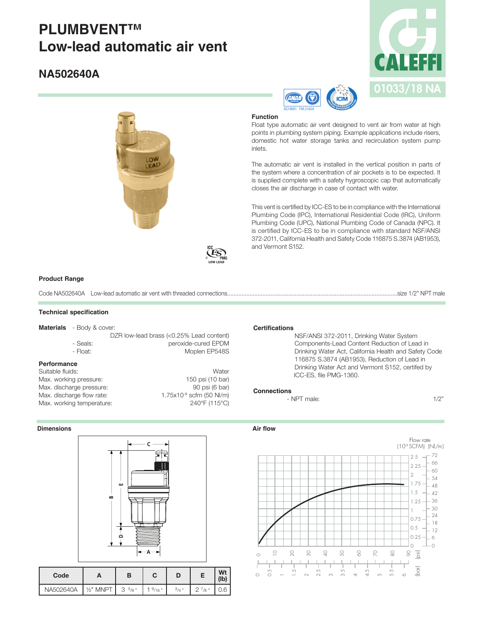# **PLUMBVENT™ Low-lead automatic air vent**

# **NA502640A**







## **Function**

Float type automatic air vent designed to vent air from water at high points in plumbing system piping. Example applications include risers, domestic hot water storage tanks and recirculation system pump inlets.

The automatic air vent is installed in the vertical position in parts of the system where a concentration of air pockets is to be expected. It is supplied complete with a safety hygroscopic cap that automatically closes the air discharge in case of contact with water.

This vent is certified by ICC-ES to be in compliance with the International Plumbing Code (IPC), International Residential Code (IRC), Uniform Plumbing Code (UPC), National Plumbing Code of Canada (NPC). It is certified by ICC-ES to be in compliance with standard NSF/ANSI 372-2011, California Health and Safety Code 116875 S.3874 (AB1953), and Vermont S152.

#### **Product Range**

Code NA502640A Low-lead automatic air vent with threaded connections..........................................................................................................size 1/2" NPT male

#### **Technical specification**

**Materials** - Body & cover:

DZR low-lead brass (<0.25% Lead content) - Seals: peroxide-cured EPDM - Float: Moplen EP548S

# **Performance**

Suitable fluids: Water Max. working pressure: 150 psi (10 bar) Max. discharge pressure: 90 psi (6 bar)<br>
Max. discharge flow rate: 1.75x10<sup>9</sup> scfm (50 NI/m) Max. discharge flow rate: Max. working temperature: 240°F (115°C)

#### **Dimensions**



NA502640A | 1/2" MNPT | 3  $5/8$ " | 1  $9/16$ " |  $3/4$ " | 2  $7/8$ " | 0.6

| <b>Certifications</b> |
|-----------------------|
|-----------------------|

 NSF/ANSI 372-2011, Drinking Water System Components-Lead Content Reduction of Lead in Drinking Water Act, California Health and Safety Code 116875 S.3874 (AB1953), Reduction of Lead in Drinking Water Act and Vermont S152, certifed by ICC-ES, file PMG-1360.

#### **Connections**

- NPT male: 1/2"

#### **Air flow**